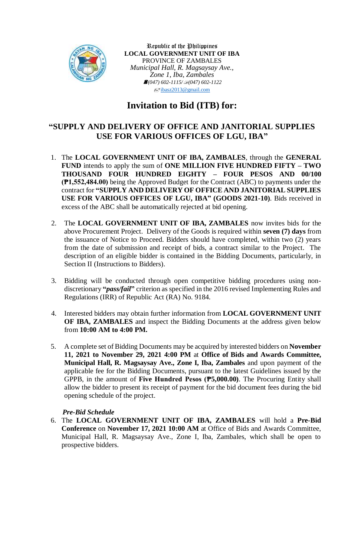

Republic of the Philippines **LOCAL GOVERNMENT UNIT OF IBA** PROVINCE OF ZAMBALES *Municipal Hall, R. Magsaysay Ave., Zone 1, Iba, Zambales (047) 602-1115/(047) 602-1122*  $\sqrt{\frac{1}{2}}$ [ibasz2013@gmail.com](mailto:ibasz2013@gmail.com)

# **Invitation to Bid (ITB) for:**

## **"SUPPLY AND DELIVERY OF OFFICE AND JANITORIAL SUPPLIES USE FOR VARIOUS OFFICES OF LGU, IBA"**

- 1. The **LOCAL GOVERNMENT UNIT OF IBA, ZAMBALES**, through the **GENERAL FUND** intends to apply the sum of **ONE MILLION FIVE HUNDRED FIFTY – TWO THOUSAND FOUR HUNDRED EIGHTY – FOUR PESOS AND 00/100 (₱1,552,484.00)** being the Approved Budget for the Contract (ABC) to payments under the contract for **"SUPPLY AND DELIVERY OF OFFICE AND JANITORIAL SUPPLIES USE FOR VARIOUS OFFICES OF LGU, IBA" (GOODS 2021-10)**. Bids received in excess of the ABC shall be automatically rejected at bid opening.
- 2. The **LOCAL GOVERNMENT UNIT OF IBA, ZAMBALES** now invites bids for the above Procurement Project. Delivery of the Goods is required within **seven (7) days** from the issuance of Notice to Proceed. Bidders should have completed, within two (2) years from the date of submission and receipt of bids, a contract similar to the Project. The description of an eligible bidder is contained in the Bidding Documents, particularly, in Section II (Instructions to Bidders).
- 3. Bidding will be conducted through open competitive bidding procedures using nondiscretionary **"***pass/fail***"** criterion as specified in the 2016 revised Implementing Rules and Regulations (IRR) of Republic Act (RA) No. 9184.
- 4. Interested bidders may obtain further information from **LOCAL GOVERNMENT UNIT OF IBA, ZAMBALES** and inspect the Bidding Documents at the address given below from **10:00 AM to 4:00 PM.**
- 5. A complete set of Bidding Documents may be acquired by interested bidders on **November 11, 2021 to November 29, 2021 4:00 PM** at **Office of Bids and Awards Committee, Municipal Hall, R. Magsaysay Ave., Zone I, Iba, Zambales** and upon payment of the applicable fee for the Bidding Documents, pursuant to the latest Guidelines issued by the GPPB, in the amount of **Five Hundred Pesos (₱5,000.00)**. The Procuring Entity shall allow the bidder to present its receipt of payment for the bid document fees during the bid opening schedule of the project.

#### *Pre-Bid Schedule*

6. The **LOCAL GOVERNMENT UNIT OF IBA, ZAMBALES** will hold a **Pre-Bid Conference** on **November 17, 2021 10:00 AM** at Office of Bids and Awards Committee, Municipal Hall, R. Magsaysay Ave., Zone I, Iba, Zambales, which shall be open to prospective bidders.